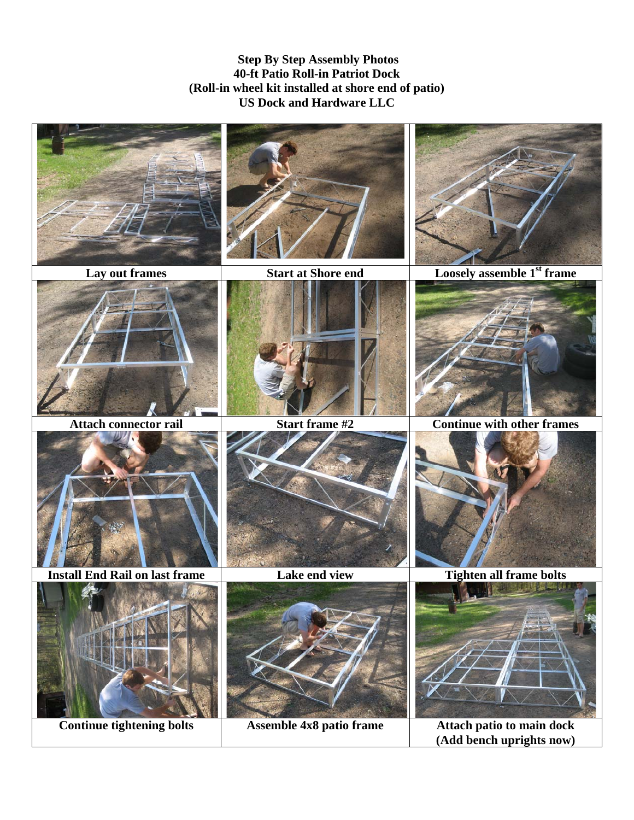**Step By Step Assembly Photos 40-ft Patio Roll-in Patriot Dock (Roll-in wheel kit installed at shore end of patio) US Dock and Hardware LLC** 



**Continue tightening bolts** Assemble 4x8 patio frame Attach patio to main dock **(Add bench uprights now)**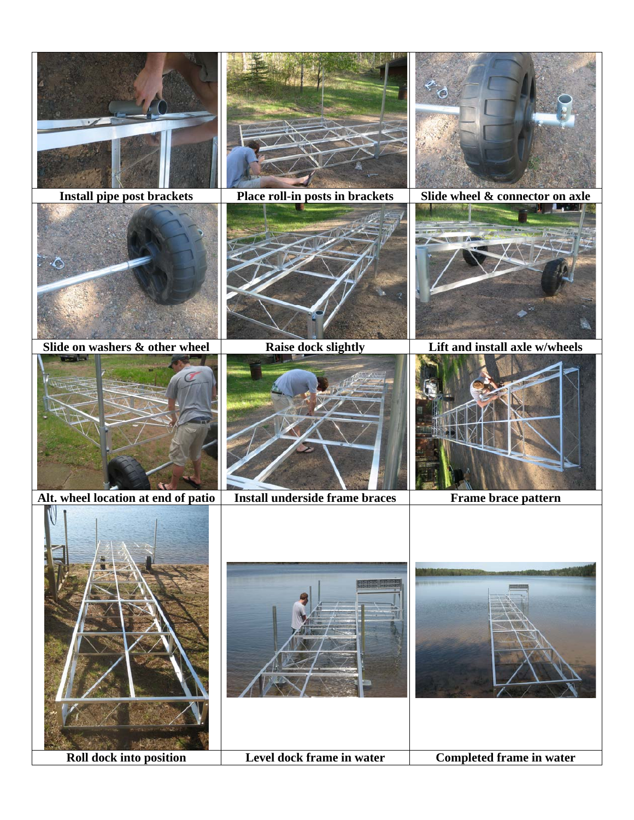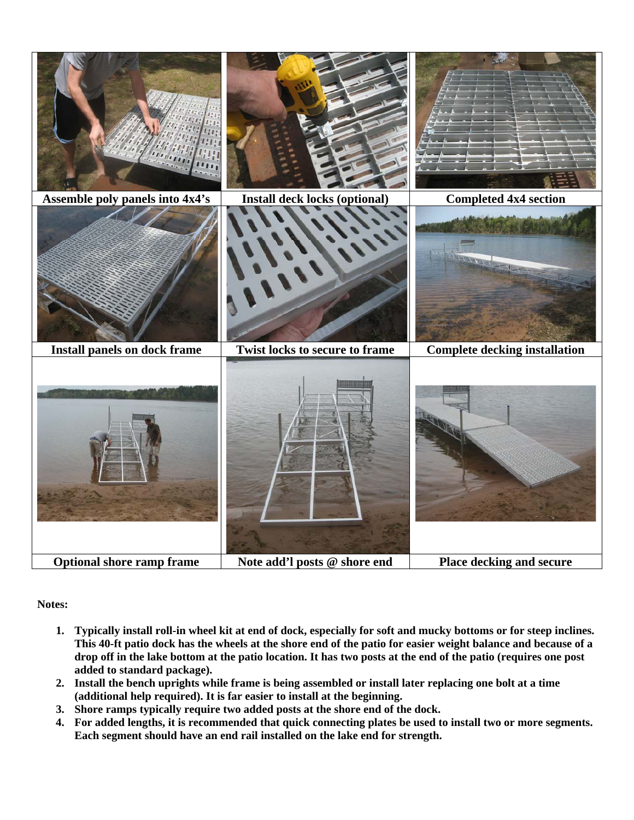

**Notes:** 

- **1. Typically install roll-in wheel kit at end of dock, especially for soft and mucky bottoms or for steep inclines. This 40-ft patio dock has the wheels at the shore end of the patio for easier weight balance and because of a drop off in the lake bottom at the patio location. It has two posts at the end of the patio (requires one post added to standard package).**
- **2. Install the bench uprights while frame is being assembled or install later replacing one bolt at a time (additional help required). It is far easier to install at the beginning.**
- **3. Shore ramps typically require two added posts at the shore end of the dock.**
- **4. For added lengths, it is recommended that quick connecting plates be used to install two or more segments. Each segment should have an end rail installed on the lake end for strength.**